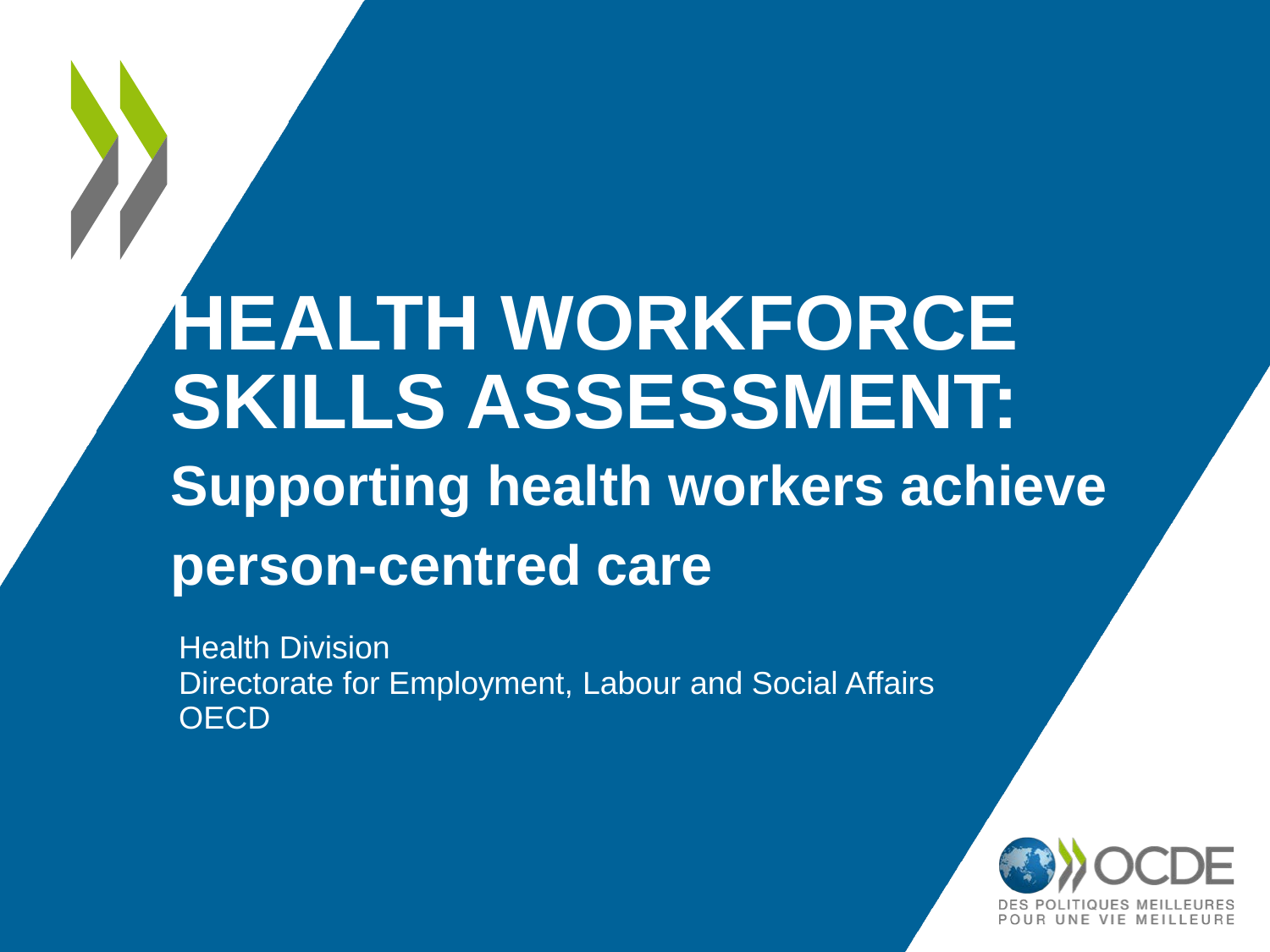# **HEALTH WORKFORCE SKILLS ASSESSMENT: Supporting health workers achieve person-centred care**

Health Division Directorate for Employment, Labour and Social Affairs **OECD** 

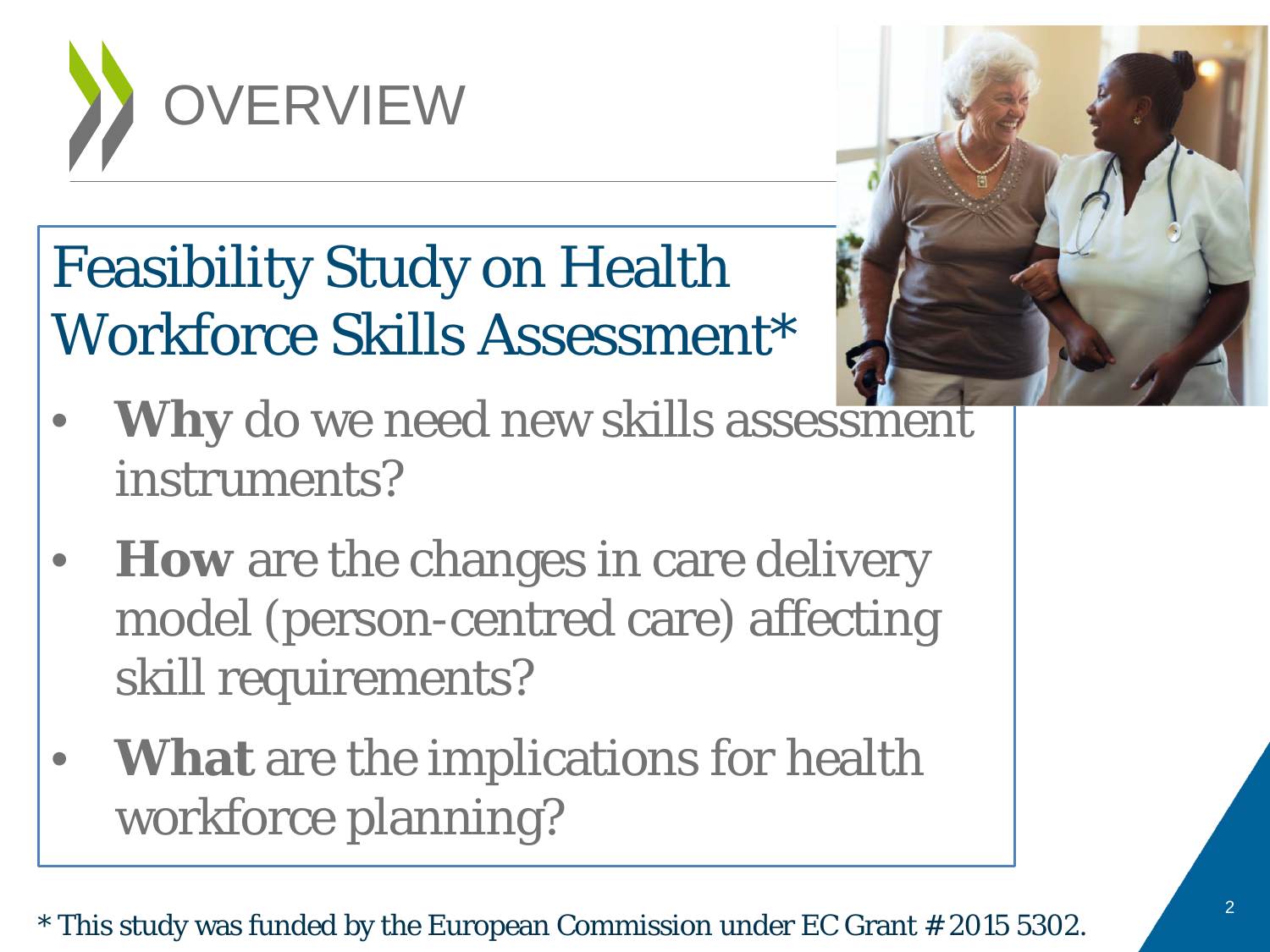

# Feasibility Study on Health Workforce Skills Assessment\*



- **Why** do we need new skills assessment instruments?
- **How** are the changes in care delivery model (person-centred care) affecting skill requirements?
- **What** are the implications for health workforce planning?

\* This study was funded by the European Commission under EC Grant # 2015 5302.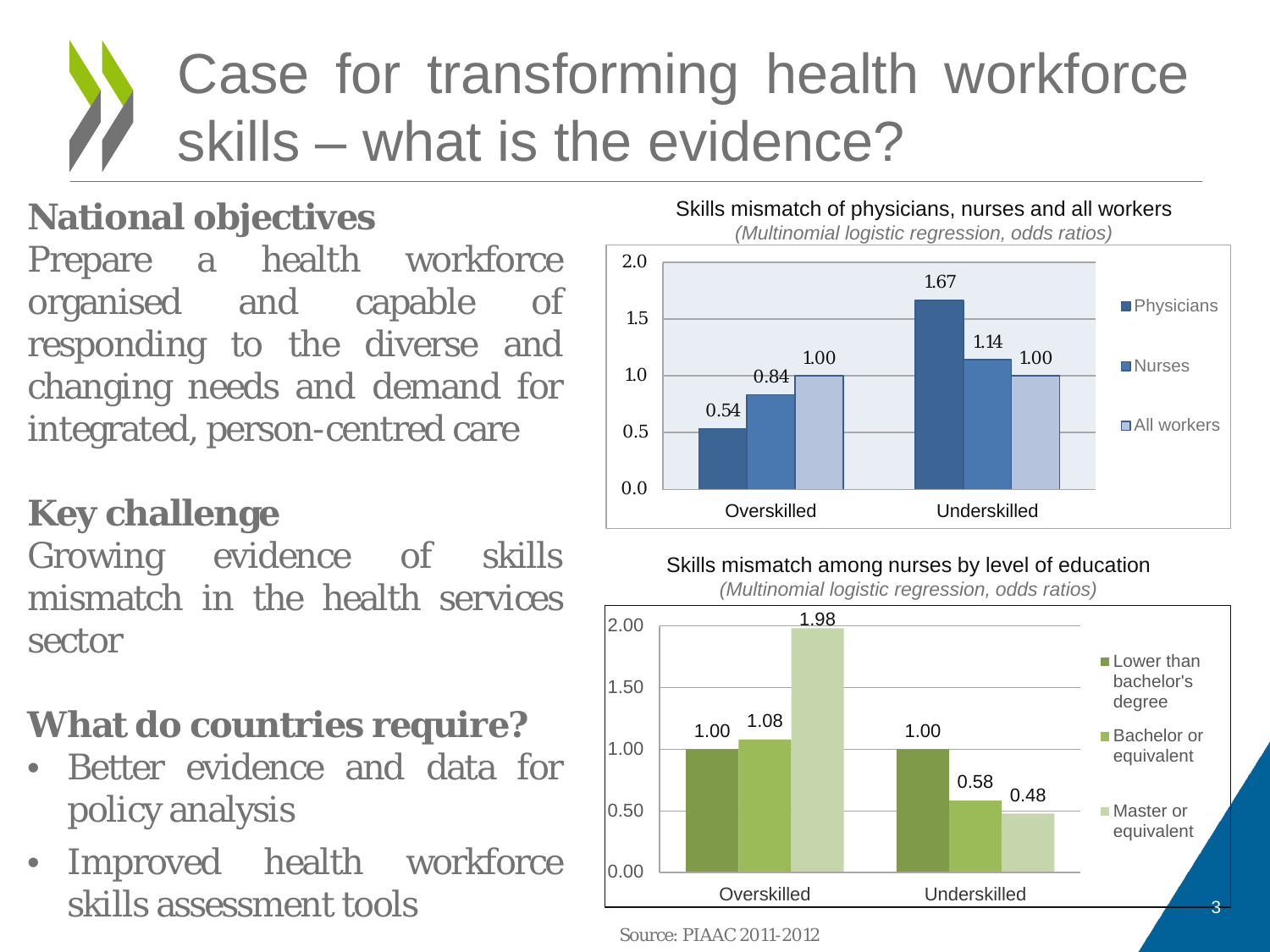# Case for transforming health workforce skills – what is the evidence?

### **National objectives**

Prepare a health workforce organised and capable of responding to the diverse and changing needs and demand for integrated, person-centred care

#### **Key challenge**

Growing evidence of skills mismatch in the health services sector

### **What do countries require?**

- Better evidence and data for policy analysis
- Improved health workforce skills assessment tools



#### Skills mismatch among nurses by level of education

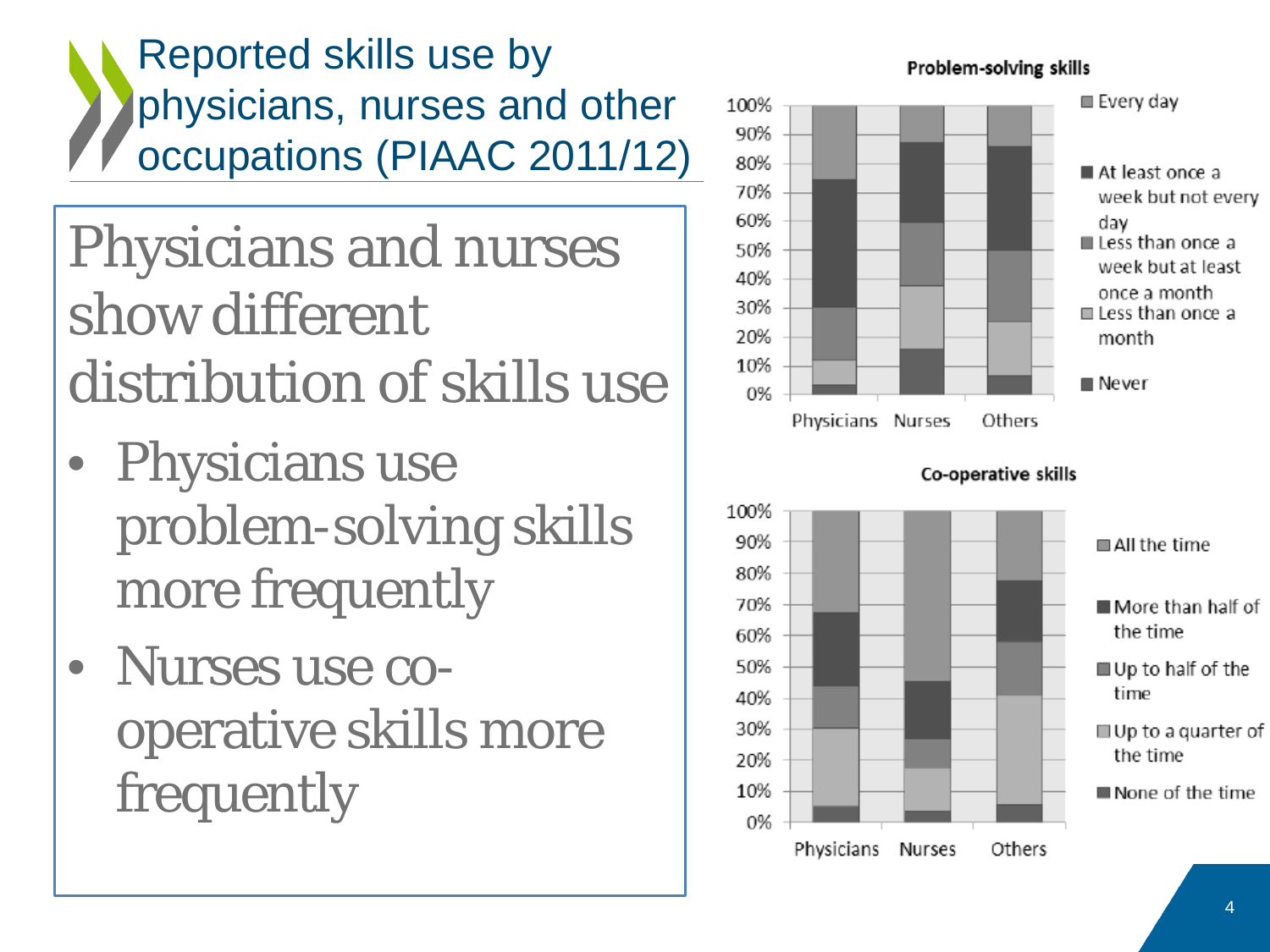Reported skills use by physicians, nurses and other occupations (PIAAC 2011/12)

Physicians and nurses show different distribution of skills use

- Physicians use problem-solving skills more frequently
- Nurses use cooperative skills more frequently

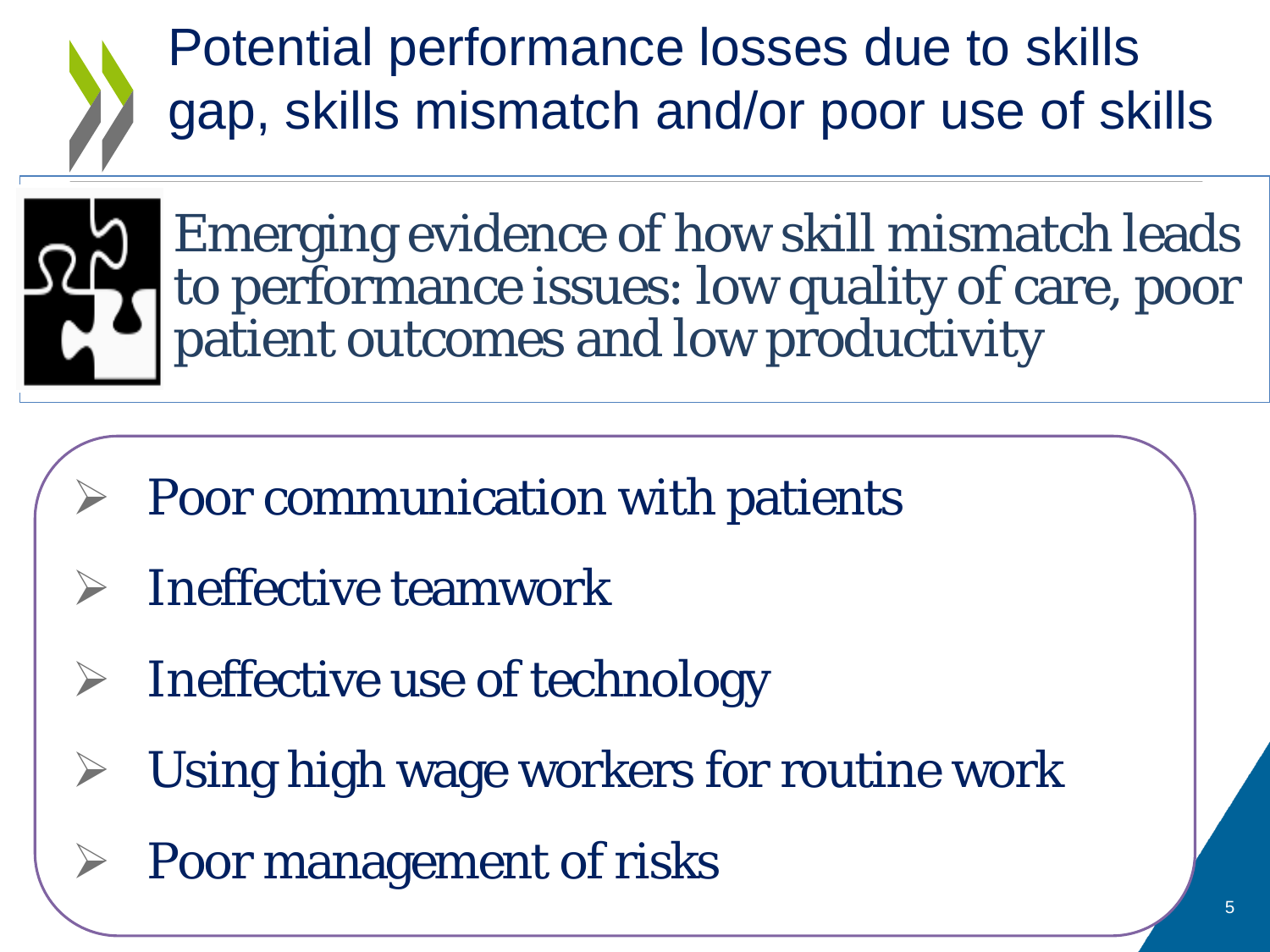Potential performance losses due to skills gap, skills mismatch and/or poor use of skills



Emerging evidence of how skill mismatch leads to performance issues: low quality of care, poor patient outcomes and low productivity

- Poor communication with patients
- $\triangleright$  Ineffective teamwork
- Ineffective use of technology
- Using high wage workers for routine work
	- Poor management of risks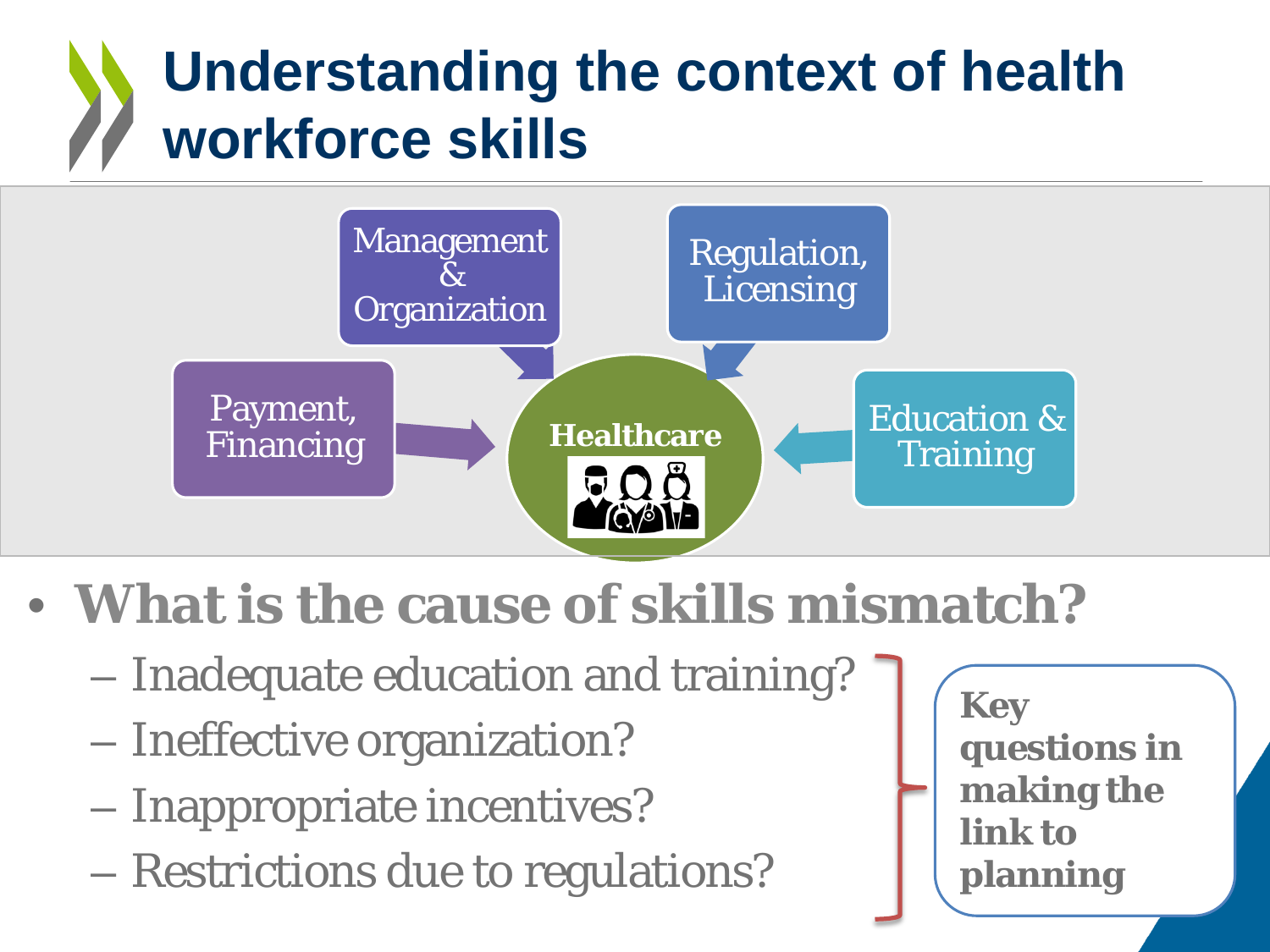# **Understanding the context of health workforce skills**



- **What is the cause of skills mismatch?**
	- Inadequate education and training?
	- Ineffective organization?
	- Inappropriate incentives?
	- Restrictions due to regulations?

**Key questions in making the link to planning**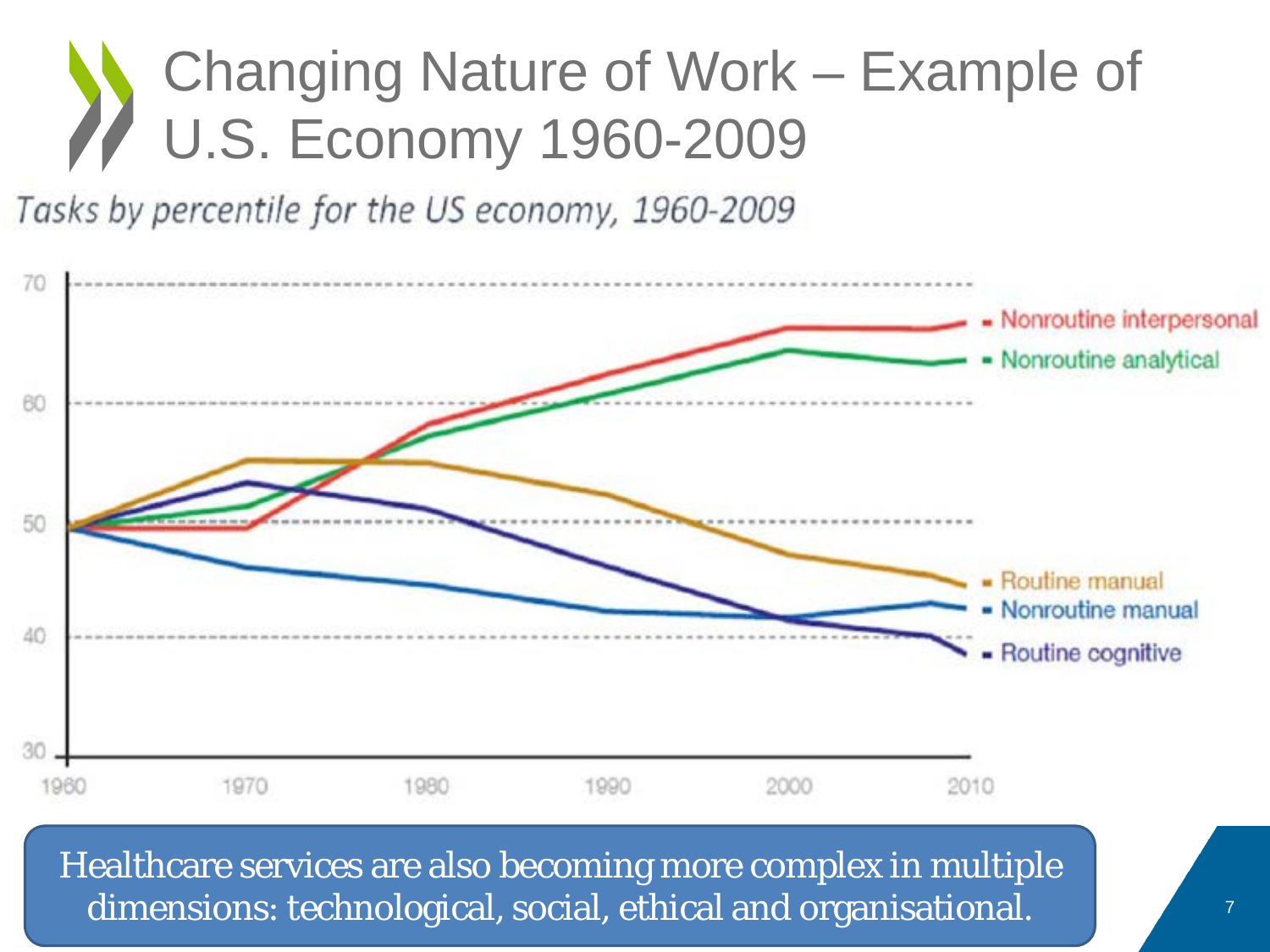# Changing Nature of Work – Example of U.S. Economy 1960-2009

Tasks by percentile for the US economy, 1960-2009



Healthcare services are also becoming more complex in multiple dimensions: technological, social, ethical and organisational.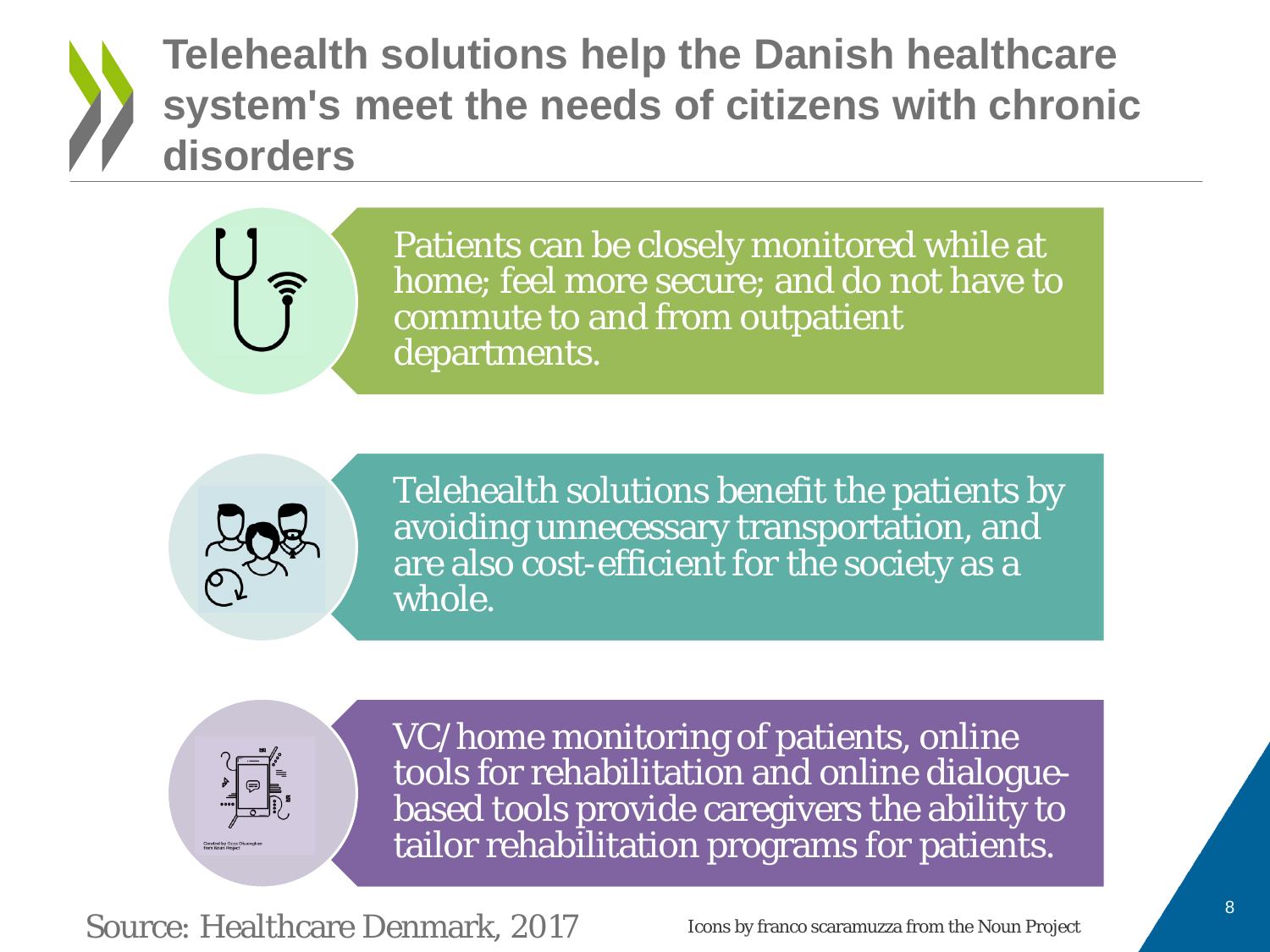### **Telehealth solutions help the Danish healthcare system's meet the needs of citizens with chronic disorders**

Patients can be closely monitored while at home; feel more secure; and do not have to commute to and from outpatient departments.



Telehealth solutions benefit the patients by avoiding unnecessary transportation, and are also cost-efficient for the society as a whole.



VC/home monitoring of patients, online tools for rehabilitation and online dialoguebased tools provide caregivers the ability to tailor rehabilitation programs for patients.

Source: Healthcare Denmark, 2017

Icons by franco scaramuzza from the Noun Project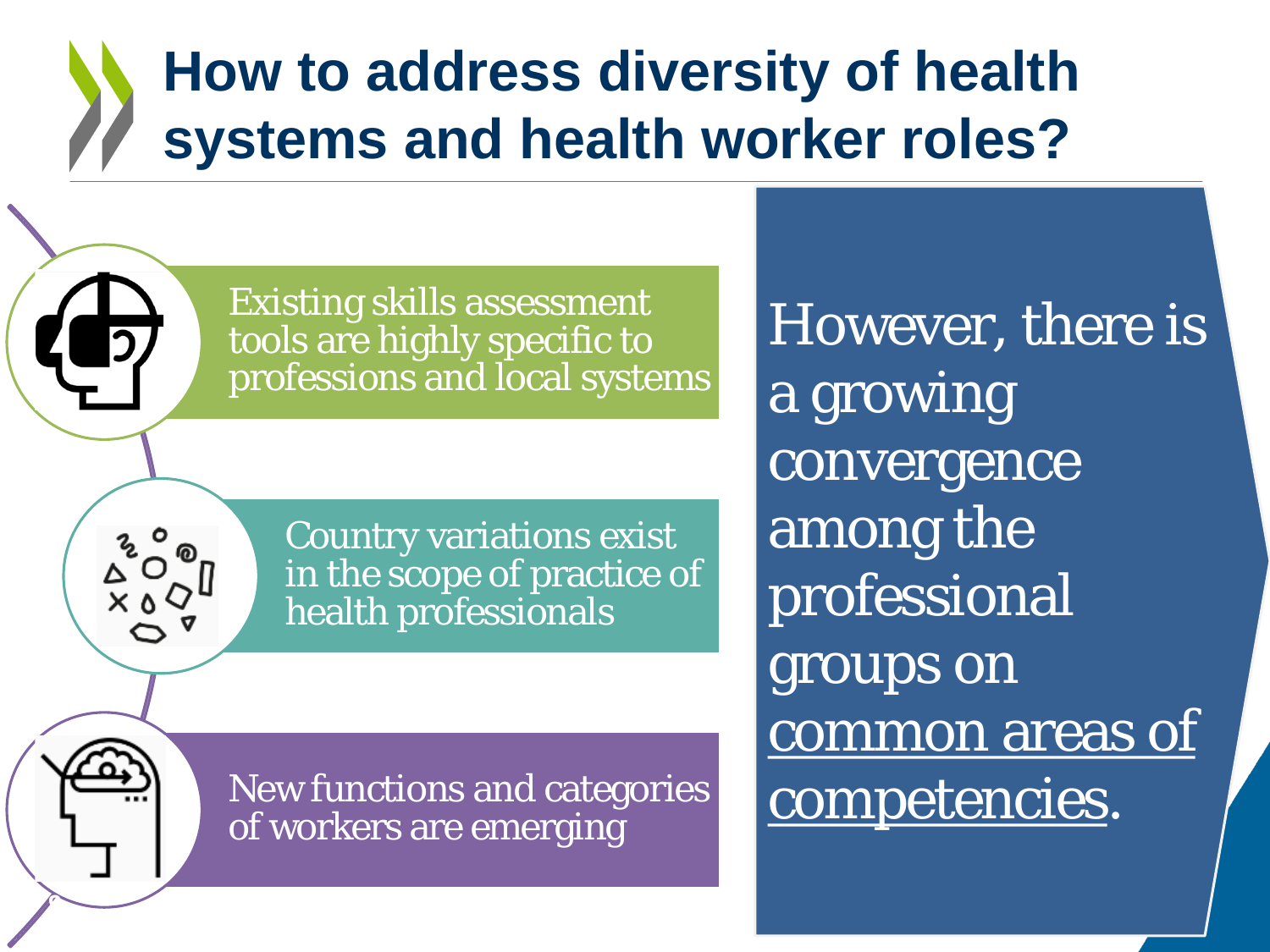### **How to address diversity of health systems and health worker roles?**

Existing skills assessment tools are highly specific to professions and local systems

> Country variations exist in the scope of practice of health professionals

New functions and categories of workers are emerging

**9**

However, there is a growing convergence among the professional groups on common areas of competencies*.*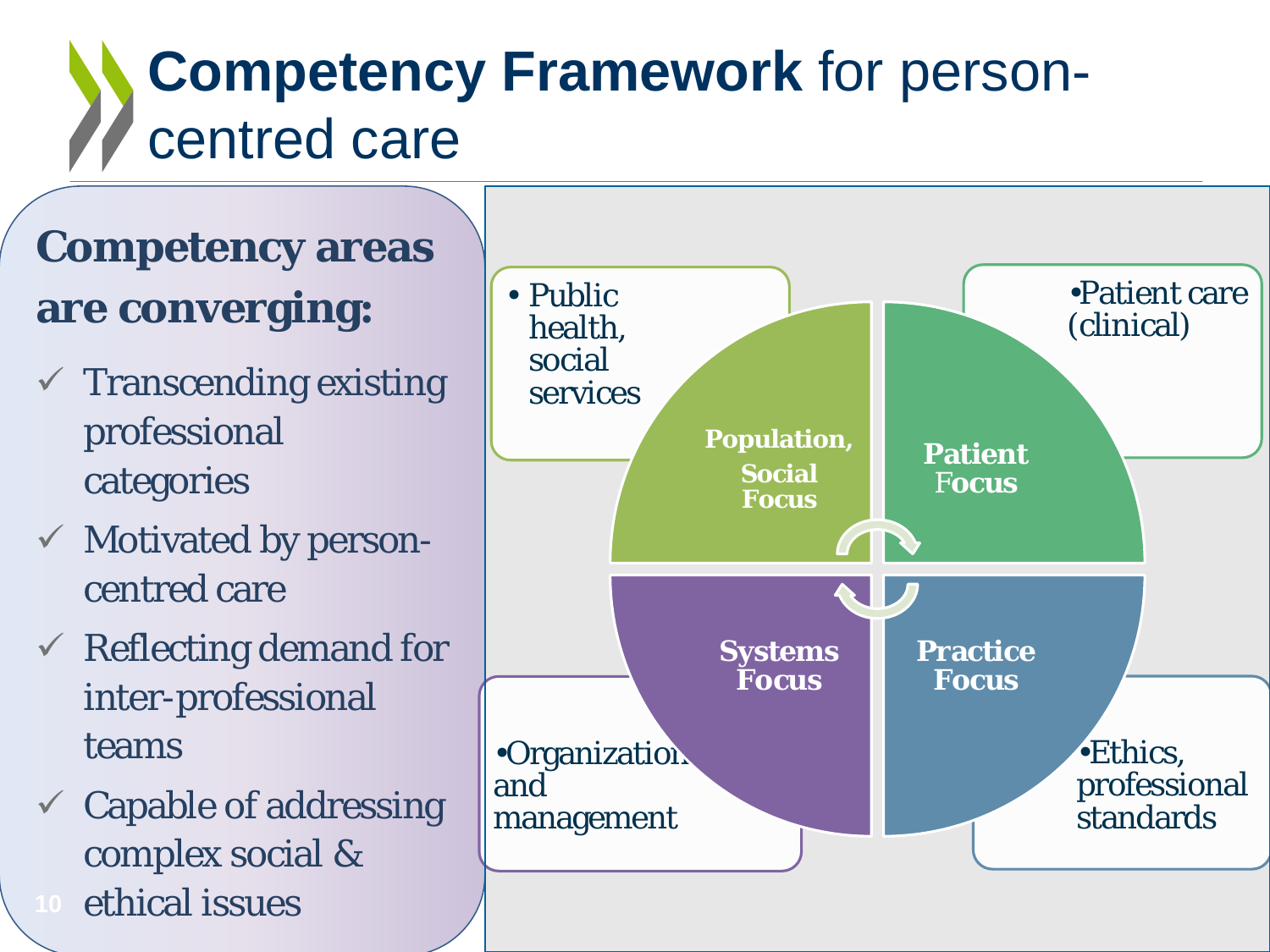# **Competency Framework** for personcentred care

### **Competency areas are converging:**

- Transcending existing professional categories
- $\checkmark$  Motivated by personcentred care
- $\checkmark$  Reflecting demand for inter-professional teams
- $\checkmark$  Capable of addressing complex social & ethical issues

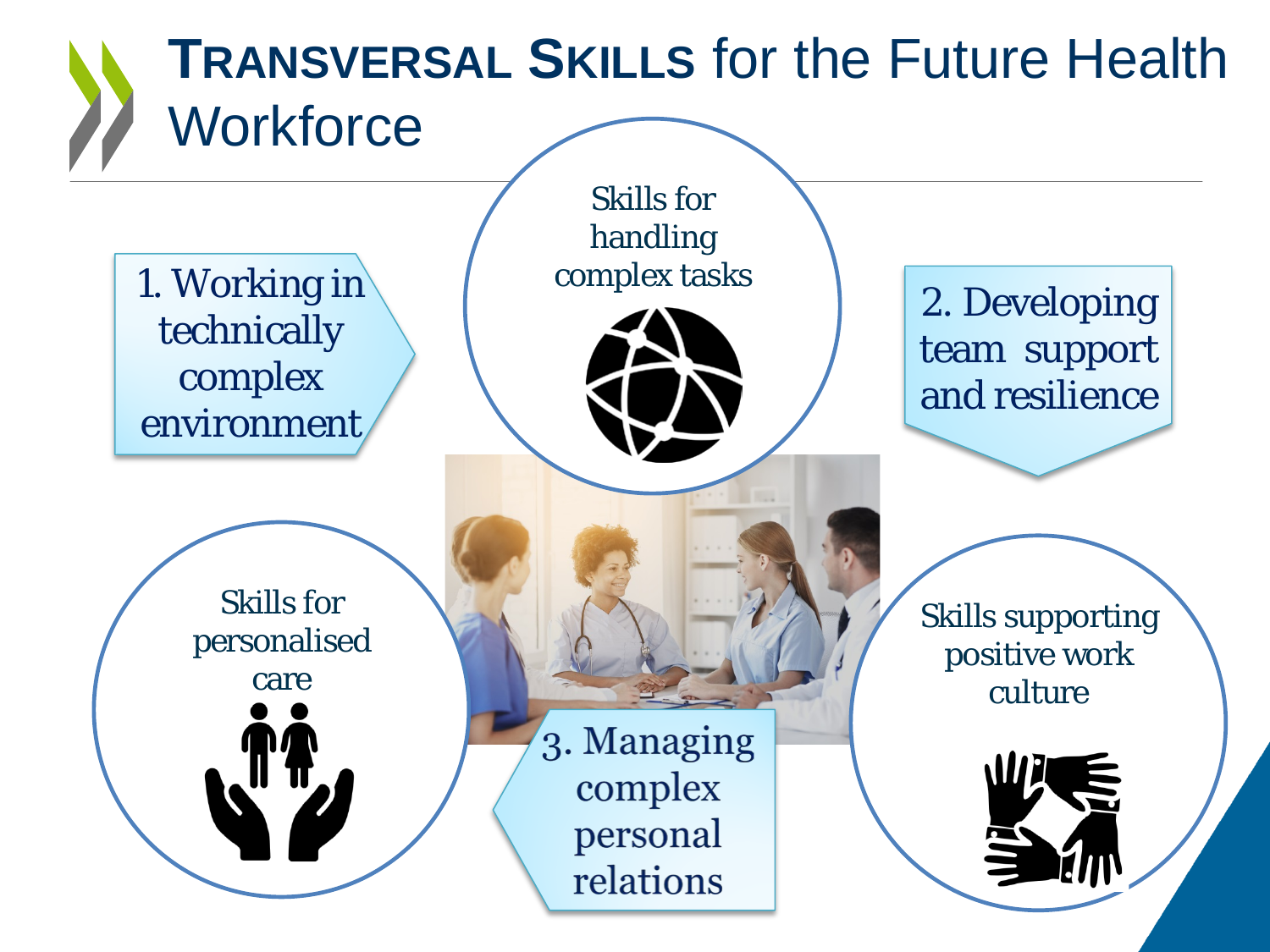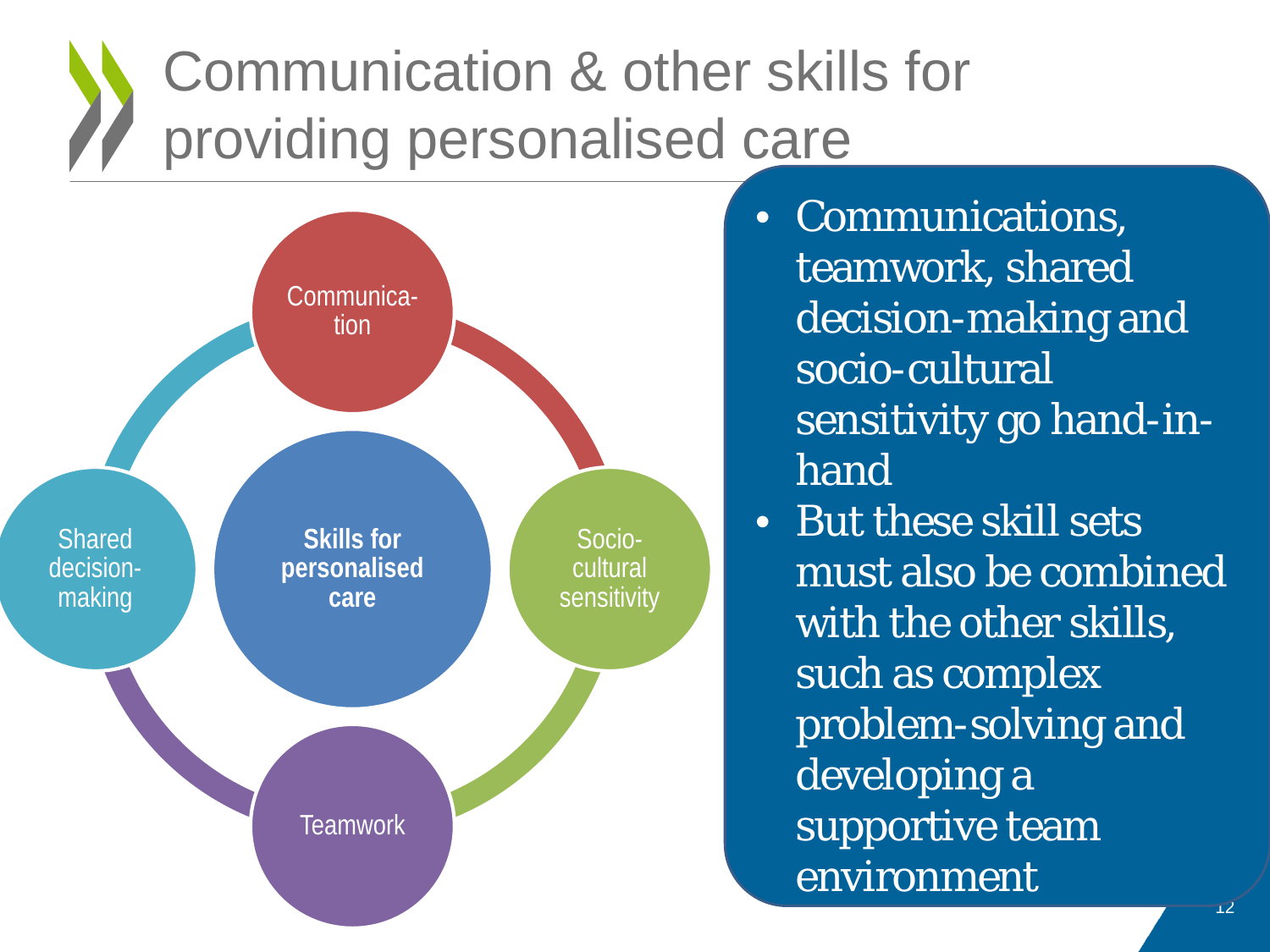# Communication & other skills for providing personalised care



• Communications, teamwork, shared decision-making and socio-cultural sensitivity go hand-inhand

• But these skill sets must also be combined with the other skills, such as complex problem-solving and developing a supportive team environment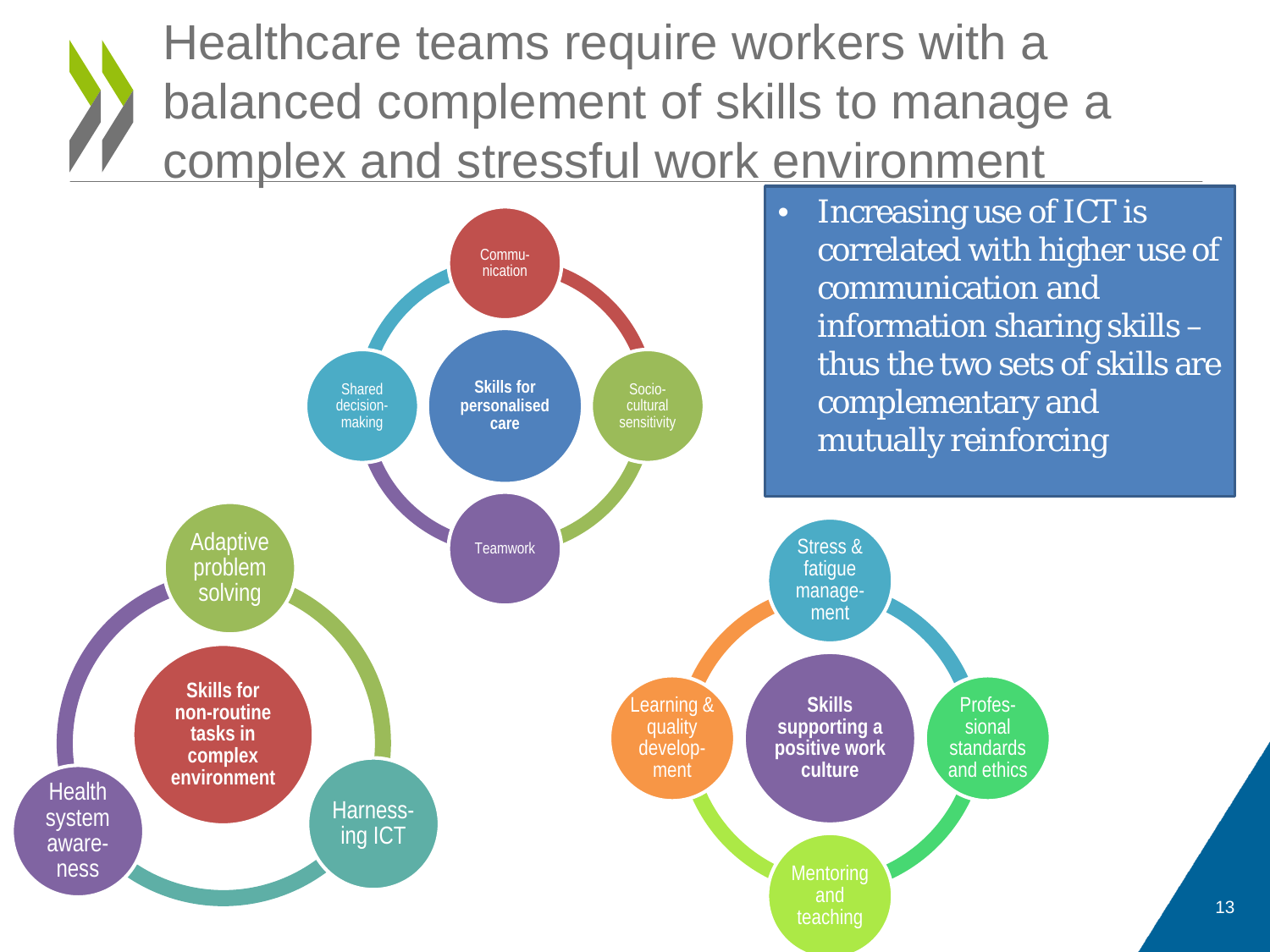Healthcare teams require workers with a balanced complement of skills to manage a complex and stressful work environment

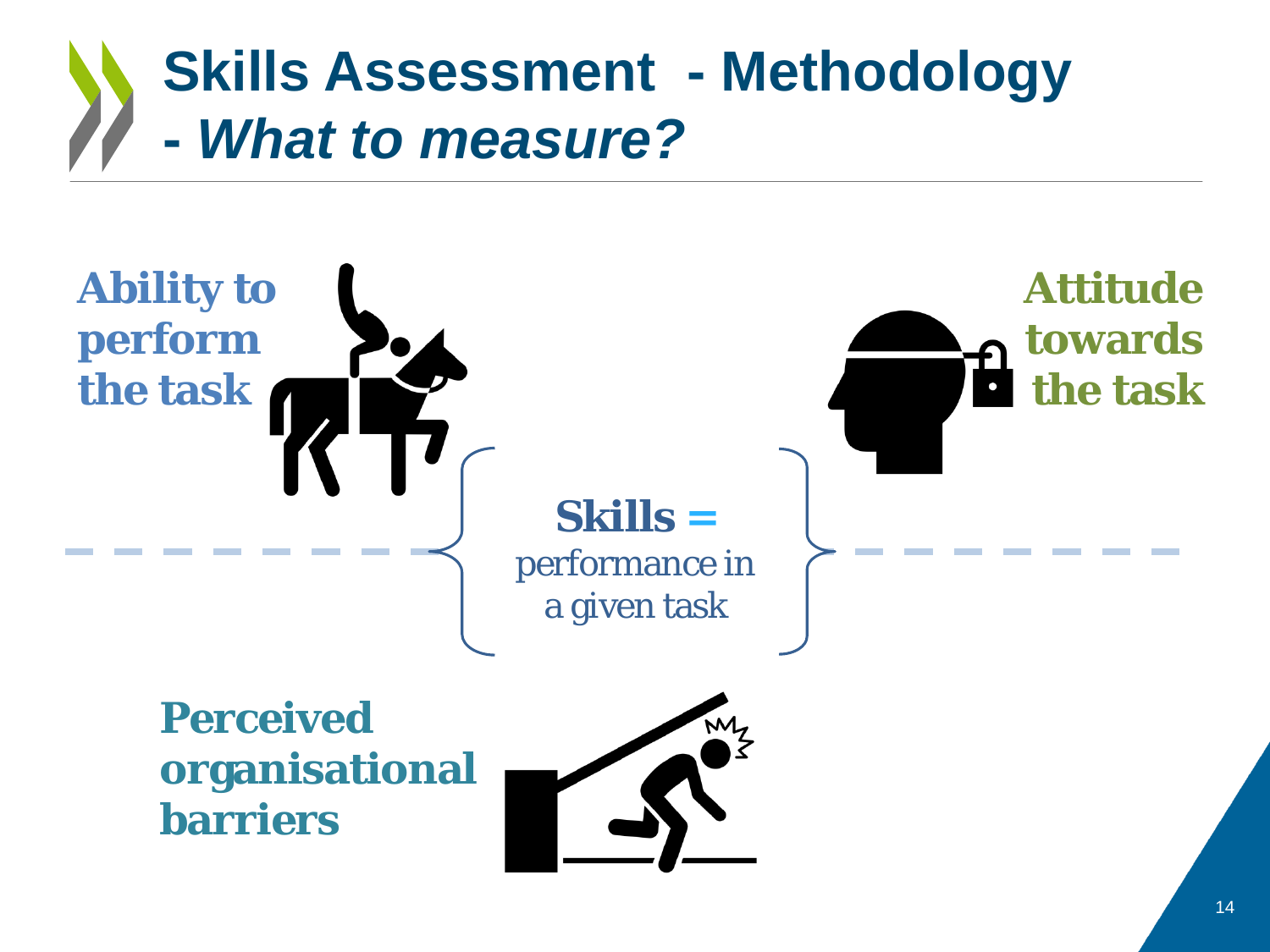### **Skills Assessment - Methodology -** *What to measure?*



**organisational barriers** 

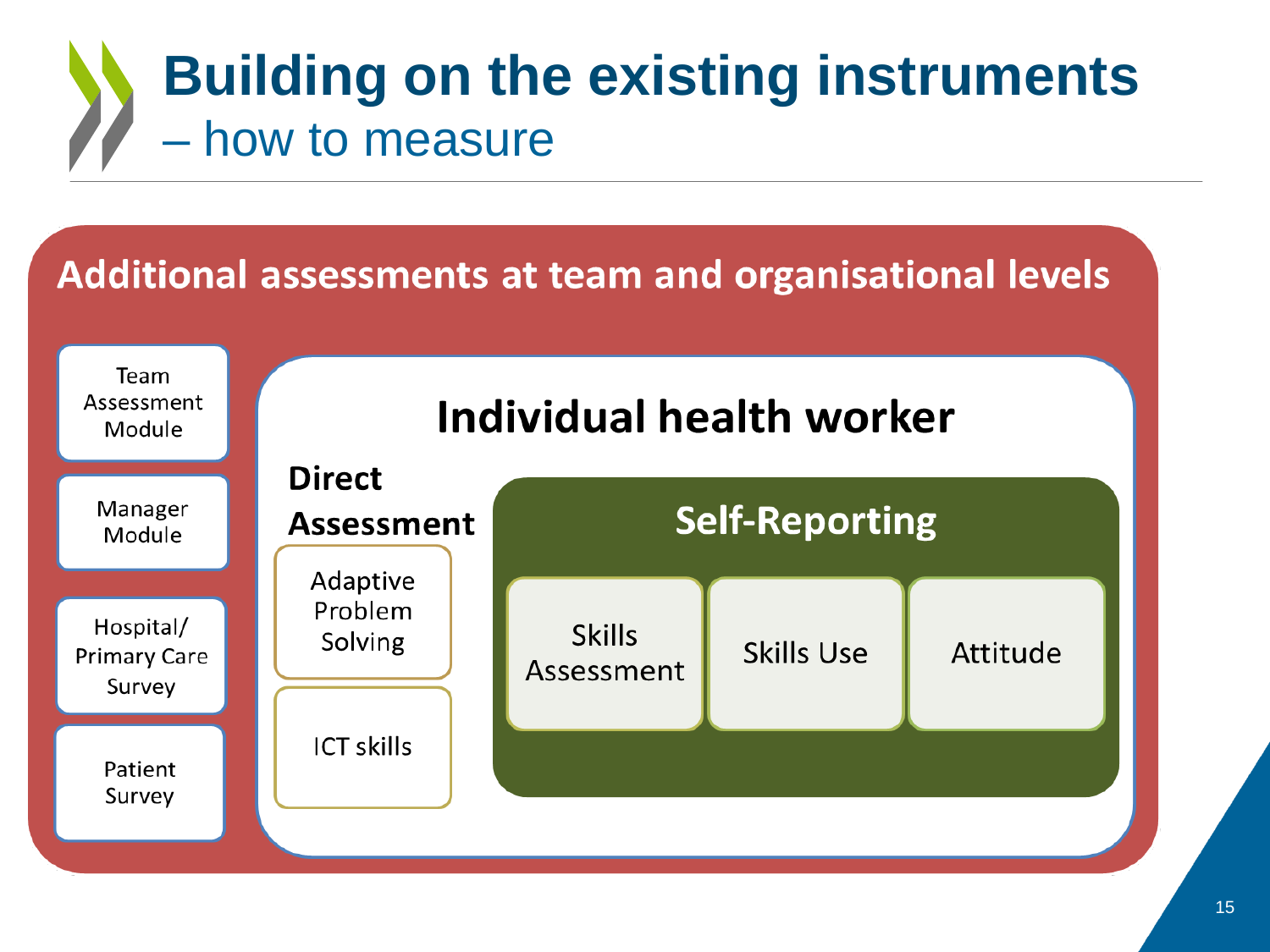### **Building on the existing instruments**  – how to measure

#### Additional assessments at team and organisational levels Team Assessment Individual health worker Module **Direct** Manager **Self-Reporting Assessment** Module Adaptive Problem Hospital/ **Skills** Solving **Skills Use** Attitude **Primary Care** Assessment Survey **ICT skills** Patient Survey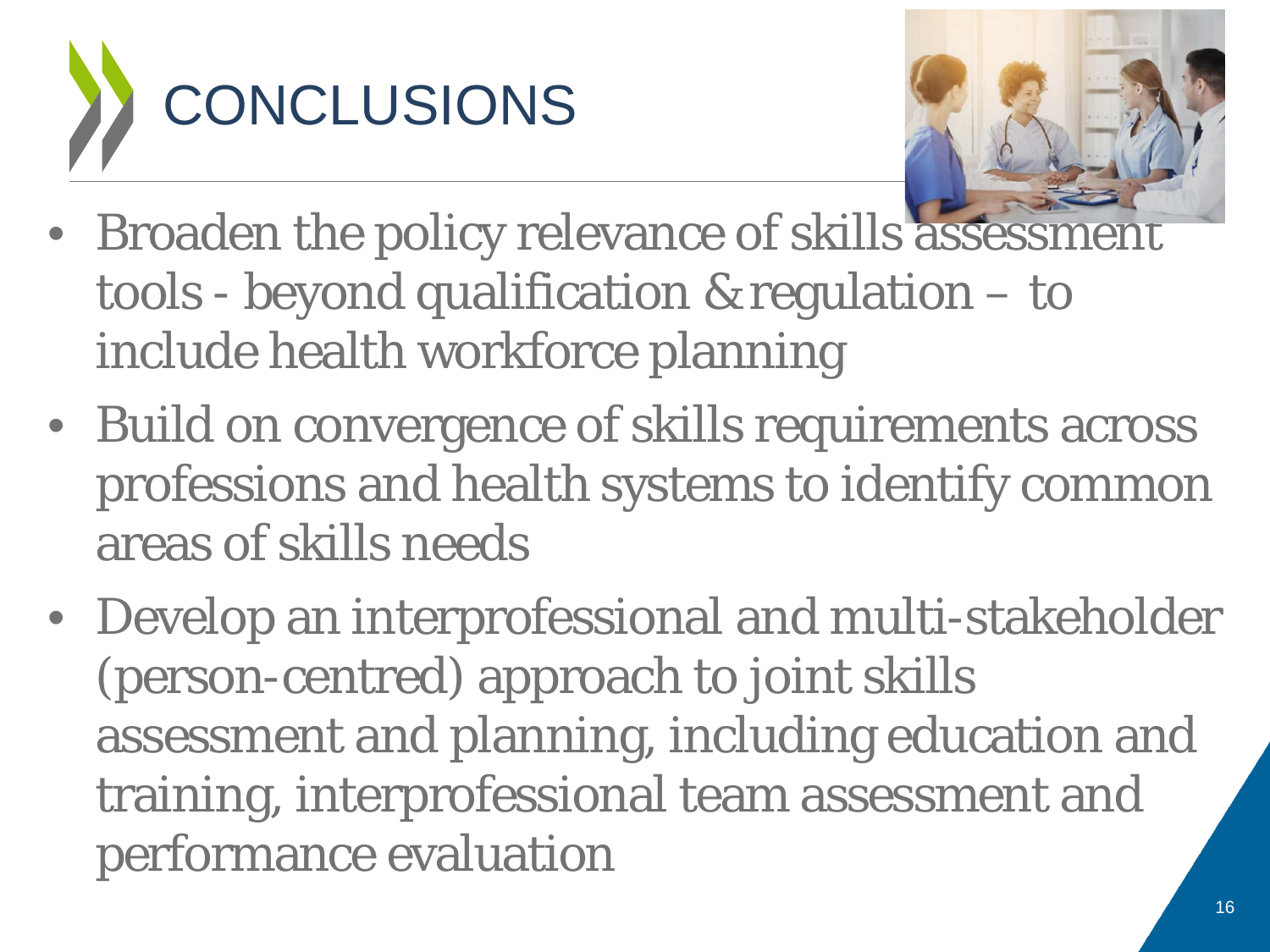



- Broaden the policy relevance of skills assessn tools - beyond qualification & regulation – to include health workforce planning
- Build on convergence of skills requirements across professions and health systems to identify common areas of skills needs
- Develop an interprofessional and multi-stakeholder (person-centred) approach to joint skills assessment and planning, including education and training, interprofessional team assessment and performance evaluation